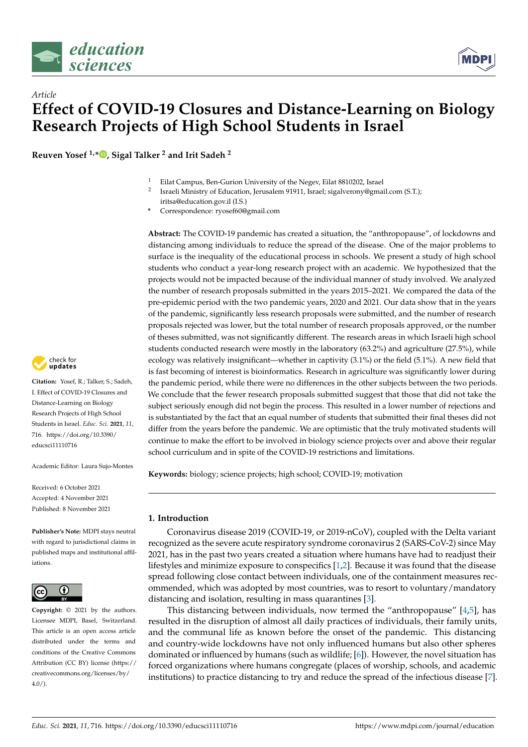

# *Article* **Effect of COVID-19 Closures and Distance-Learning on Biology Research Projects of High School Students in Israel**

**Reuven Yosef 1,\* [,](https://orcid.org/0000-0003-4331-9866) Sigal Talker <sup>2</sup> and Irit Sadeh <sup>2</sup>**

- <sup>1</sup> Eilat Campus, Ben-Gurion University of the Negev, Eilat 8810202, Israel
- 2 Israeli Ministry of Education, Jerusalem 91911, Israel; sigalverony@gmail.com (S.T.); iritsa@education.gov.il (I.S.)
- **\*** Correspondence: ryosef60@gmail.com

**Abstract:** The COVID-19 pandemic has created a situation, the "anthropopause", of lockdowns and distancing among individuals to reduce the spread of the disease. One of the major problems to surface is the inequality of the educational process in schools. We present a study of high school students who conduct a year-long research project with an academic. We hypothesized that the projects would not be impacted because of the individual manner of study involved. We analyzed the number of research proposals submitted in the years 2015–2021. We compared the data of the pre-epidemic period with the two pandemic years, 2020 and 2021. Our data show that in the years of the pandemic, significantly less research proposals were submitted, and the number of research proposals rejected was lower, but the total number of research proposals approved, or the number of theses submitted, was not significantly different. The research areas in which Israeli high school students conducted research were mostly in the laboratory (63.2%) and agriculture (27.5%), while ecology was relatively insignificant—whether in captivity (3.1%) or the field (5.1%). A new field that is fast becoming of interest is bioinformatics. Research in agriculture was significantly lower during the pandemic period, while there were no differences in the other subjects between the two periods. We conclude that the fewer research proposals submitted suggest that those that did not take the subject seriously enough did not begin the process. This resulted in a lower number of rejections and is substantiated by the fact that an equal number of students that submitted their final theses did not differ from the years before the pandemic. We are optimistic that the truly motivated students will continue to make the effort to be involved in biology science projects over and above their regular school curriculum and in spite of the COVID-19 restrictions and limitations.

**Keywords:** biology; science projects; high school; COVID-19; motivation

# **1. Introduction**

Coronavirus disease 2019 (COVID-19, or 2019-nCoV), coupled with the Delta variant recognized as the severe acute respiratory syndrome coronavirus 2 (SARS-CoV-2) since May 2021, has in the past two years created a situation where humans have had to readjust their lifestyles and minimize exposure to conspecifics [\[1](#page-7-0)[,2\]](#page-7-1). Because it was found that the disease spread following close contact between individuals, one of the containment measures recommended, which was adopted by most countries, was to resort to voluntary/mandatory distancing and isolation, resulting in mass quarantines [\[3\]](#page-7-2).

This distancing between individuals, now termed the "anthropopause" [\[4](#page-7-3)[,5\]](#page-7-4), has resulted in the disruption of almost all daily practices of individuals, their family units, and the communal life as known before the onset of the pandemic. This distancing and country-wide lockdowns have not only influenced humans but also other spheres dominated or influenced by humans (such as wildlife; [\[6\]](#page-7-5)). However, the novel situation has forced organizations where humans congregate (places of worship, schools, and academic institutions) to practice distancing to try and reduce the spread of the infectious disease [\[7\]](#page-7-6).



**Citation:** Yosef, R.; Talker, S.; Sadeh, I. Effect of COVID-19 Closures and Distance-Learning on Biology Research Projects of High School Students in Israel. *Educ. Sci.* **2021**, *11*, 716. [https://doi.org/10.3390/](https://doi.org/10.3390/educsci11110716) [educsci11110716](https://doi.org/10.3390/educsci11110716)

Academic Editor: Laura Sujo-Montes

Received: 6 October 2021 Accepted: 4 November 2021 Published: 8 November 2021

**Publisher's Note:** MDPI stays neutral with regard to jurisdictional claims in published maps and institutional affiliations.



**Copyright:** © 2021 by the authors. Licensee MDPI, Basel, Switzerland. This article is an open access article distributed under the terms and conditions of the Creative Commons Attribution (CC BY) license (https:/[/](https://creativecommons.org/licenses/by/4.0/) [creativecommons.org/licenses/by/](https://creativecommons.org/licenses/by/4.0/)  $4.0/$ ).

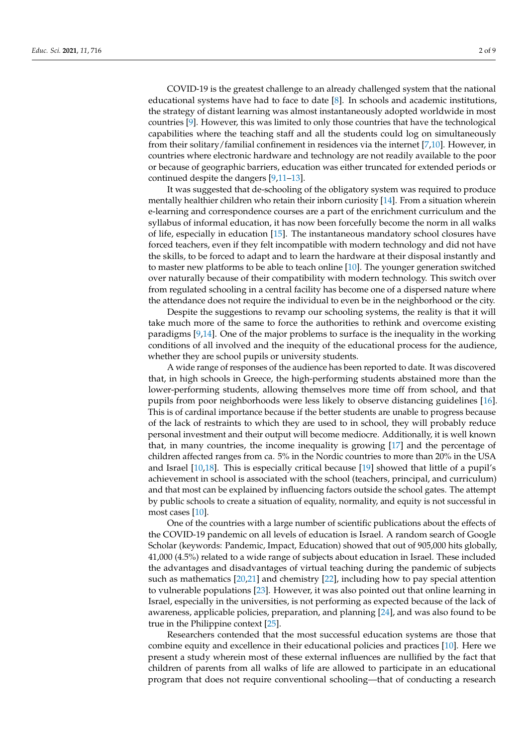COVID-19 is the greatest challenge to an already challenged system that the national educational systems have had to face to date [\[8\]](#page-7-7). In schools and academic institutions, the strategy of distant learning was almost instantaneously adopted worldwide in most countries [\[9\]](#page-7-8). However, this was limited to only those countries that have the technological capabilities where the teaching staff and all the students could log on simultaneously from their solitary/familial confinement in residences via the internet [\[7](#page-7-6)[,10\]](#page-7-9). However, in countries where electronic hardware and technology are not readily available to the poor or because of geographic barriers, education was either truncated for extended periods or continued despite the dangers [\[9,](#page-7-8)[11–](#page-7-10)[13\]](#page-7-11).

It was suggested that de-schooling of the obligatory system was required to produce mentally healthier children who retain their inborn curiosity [\[14\]](#page-7-12). From a situation wherein e-learning and correspondence courses are a part of the enrichment curriculum and the syllabus of informal education, it has now been forcefully become the norm in all walks of life, especially in education [\[15\]](#page-7-13). The instantaneous mandatory school closures have forced teachers, even if they felt incompatible with modern technology and did not have the skills, to be forced to adapt and to learn the hardware at their disposal instantly and to master new platforms to be able to teach online [\[10\]](#page-7-9). The younger generation switched over naturally because of their compatibility with modern technology. This switch over from regulated schooling in a central facility has become one of a dispersed nature where the attendance does not require the individual to even be in the neighborhood or the city.

Despite the suggestions to revamp our schooling systems, the reality is that it will take much more of the same to force the authorities to rethink and overcome existing paradigms [\[9](#page-7-8)[,14\]](#page-7-12). One of the major problems to surface is the inequality in the working conditions of all involved and the inequity of the educational process for the audience, whether they are school pupils or university students.

A wide range of responses of the audience has been reported to date. It was discovered that, in high schools in Greece, the high-performing students abstained more than the lower-performing students, allowing themselves more time off from school, and that pupils from poor neighborhoods were less likely to observe distancing guidelines [\[16\]](#page-7-14). This is of cardinal importance because if the better students are unable to progress because of the lack of restraints to which they are used to in school, they will probably reduce personal investment and their output will become mediocre. Additionally, it is well known that, in many countries, the income inequality is growing [\[17\]](#page-7-15) and the percentage of children affected ranges from ca. 5% in the Nordic countries to more than 20% in the USA and Israel [\[10](#page-7-9)[,18\]](#page-7-16). This is especially critical because [\[19\]](#page-7-17) showed that little of a pupil's achievement in school is associated with the school (teachers, principal, and curriculum) and that most can be explained by influencing factors outside the school gates. The attempt by public schools to create a situation of equality, normality, and equity is not successful in most cases [\[10\]](#page-7-9).

One of the countries with a large number of scientific publications about the effects of the COVID-19 pandemic on all levels of education is Israel. A random search of Google Scholar (keywords: Pandemic, Impact, Education) showed that out of 905,000 hits globally, 41,000 (4.5%) related to a wide range of subjects about education in Israel. These included the advantages and disadvantages of virtual teaching during the pandemic of subjects such as mathematics [\[20](#page-7-18)[,21\]](#page-7-19) and chemistry [\[22\]](#page-7-20), including how to pay special attention to vulnerable populations [\[23\]](#page-7-21). However, it was also pointed out that online learning in Israel, especially in the universities, is not performing as expected because of the lack of awareness, applicable policies, preparation, and planning [\[24\]](#page-7-22), and was also found to be true in the Philippine context [\[25\]](#page-7-23).

Researchers contended that the most successful education systems are those that combine equity and excellence in their educational policies and practices [\[10\]](#page-7-9). Here we present a study wherein most of these external influences are nullified by the fact that children of parents from all walks of life are allowed to participate in an educational program that does not require conventional schooling—that of conducting a research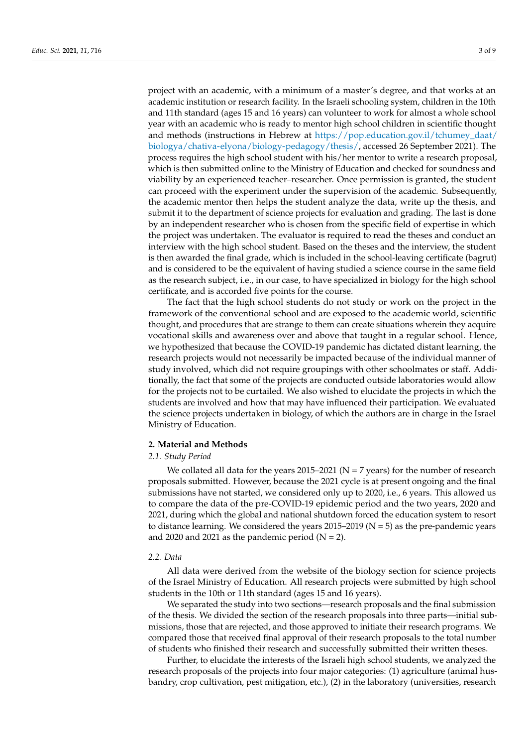project with an academic, with a minimum of a master's degree, and that works at an academic institution or research facility. In the Israeli schooling system, children in the 10th and 11th standard (ages 15 and 16 years) can volunteer to work for almost a whole school year with an academic who is ready to mentor high school children in scientific thought and methods (instructions in Hebrew at [https://pop.education.gov.il/tchumey\\_daat/](https://pop.education.gov.il/tchumey_daat/biologya/chativa-elyona/biology-pedagogy/thesis/) [biologya/chativa-elyona/biology-pedagogy/thesis/,](https://pop.education.gov.il/tchumey_daat/biologya/chativa-elyona/biology-pedagogy/thesis/) accessed 26 September 2021). The process requires the high school student with his/her mentor to write a research proposal, which is then submitted online to the Ministry of Education and checked for soundness and viability by an experienced teacher–researcher. Once permission is granted, the student can proceed with the experiment under the supervision of the academic. Subsequently, the academic mentor then helps the student analyze the data, write up the thesis, and submit it to the department of science projects for evaluation and grading. The last is done by an independent researcher who is chosen from the specific field of expertise in which the project was undertaken. The evaluator is required to read the theses and conduct an interview with the high school student. Based on the theses and the interview, the student is then awarded the final grade, which is included in the school-leaving certificate (bagrut) and is considered to be the equivalent of having studied a science course in the same field as the research subject, i.e., in our case, to have specialized in biology for the high school certificate, and is accorded five points for the course.

The fact that the high school students do not study or work on the project in the framework of the conventional school and are exposed to the academic world, scientific thought, and procedures that are strange to them can create situations wherein they acquire vocational skills and awareness over and above that taught in a regular school. Hence, we hypothesized that because the COVID-19 pandemic has dictated distant learning, the research projects would not necessarily be impacted because of the individual manner of study involved, which did not require groupings with other schoolmates or staff. Additionally, the fact that some of the projects are conducted outside laboratories would allow for the projects not to be curtailed. We also wished to elucidate the projects in which the students are involved and how that may have influenced their participation. We evaluated the science projects undertaken in biology, of which the authors are in charge in the Israel Ministry of Education.

#### **2. Material and Methods**

#### *2.1. Study Period*

We collated all data for the years  $2015-2021$  (N = 7 years) for the number of research proposals submitted. However, because the 2021 cycle is at present ongoing and the final submissions have not started, we considered only up to 2020, i.e., 6 years. This allowed us to compare the data of the pre-COVID-19 epidemic period and the two years, 2020 and 2021, during which the global and national shutdown forced the education system to resort to distance learning. We considered the years  $2015-2019$  (N = 5) as the pre-pandemic years and 2020 and 2021 as the pandemic period  $(N = 2)$ .

## *2.2. Data*

All data were derived from the website of the biology section for science projects of the Israel Ministry of Education. All research projects were submitted by high school students in the 10th or 11th standard (ages 15 and 16 years).

We separated the study into two sections—research proposals and the final submission of the thesis. We divided the section of the research proposals into three parts—initial submissions, those that are rejected, and those approved to initiate their research programs. We compared those that received final approval of their research proposals to the total number of students who finished their research and successfully submitted their written theses.

Further, to elucidate the interests of the Israeli high school students, we analyzed the research proposals of the projects into four major categories: (1) agriculture (animal husbandry, crop cultivation, pest mitigation, etc.), (2) in the laboratory (universities, research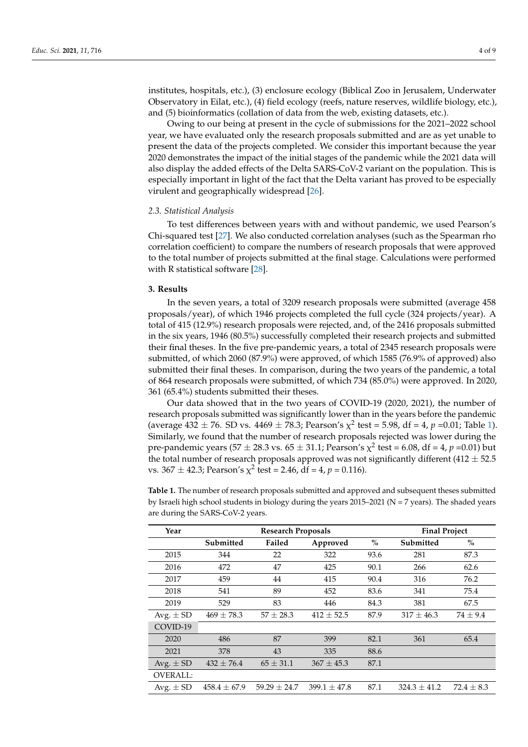institutes, hospitals, etc.), (3) enclosure ecology (Biblical Zoo in Jerusalem, Underwater Observatory in Eilat, etc.), (4) field ecology (reefs, nature reserves, wildlife biology, etc.), and (5) bioinformatics (collation of data from the web, existing datasets, etc.).

Owing to our being at present in the cycle of submissions for the 2021–2022 school year, we have evaluated only the research proposals submitted and are as yet unable to present the data of the projects completed. We consider this important because the year 2020 demonstrates the impact of the initial stages of the pandemic while the 2021 data will also display the added effects of the Delta SARS-CoV-2 variant on the population. This is especially important in light of the fact that the Delta variant has proved to be especially virulent and geographically widespread [\[26\]](#page-7-24).

# *2.3. Statistical Analysis*

To test differences between years with and without pandemic, we used Pearson's Chi-squared test [\[27\]](#page-7-25). We also conducted correlation analyses (such as the Spearman rho correlation coefficient) to compare the numbers of research proposals that were approved to the total number of projects submitted at the final stage. Calculations were performed with R statistical software [\[28\]](#page-8-0).

#### **3. Results**

In the seven years, a total of 3209 research proposals were submitted (average 458 proposals/year), of which 1946 projects completed the full cycle (324 projects/year). A total of 415 (12.9%) research proposals were rejected, and, of the 2416 proposals submitted in the six years, 1946 (80.5%) successfully completed their research projects and submitted their final theses. In the five pre-pandemic years, a total of 2345 research proposals were submitted, of which 2060 (87.9%) were approved, of which 1585 (76.9% of approved) also submitted their final theses. In comparison, during the two years of the pandemic, a total of 864 research proposals were submitted, of which 734 (85.0%) were approved. In 2020, 361 (65.4%) students submitted their theses.

Our data showed that in the two years of COVID-19 (2020, 2021), the number of research proposals submitted was significantly lower than in the years before the pandemic (average  $432 \pm 76$ . SD vs.  $4469 \pm 78.3$ ; Pearson's  $\chi^2$  test = 5.98, df = 4, p =0.01; Table [1\)](#page-3-0). Similarly, we found that the number of research proposals rejected was lower during the pre-pandemic years (57  $\pm$  28.3 vs. 65  $\pm$  31.1; Pearson's  $\chi^2$  test = 6.08, df = 4,  $p$  =0.01) but the total number of research proposals approved was not significantly different (412  $\pm$  52.5 vs. 367  $\pm$  42.3; Pearson's  $\chi^2$  test = 2.46, df = 4, p = 0.116).

| Year            | <b>Research Proposals</b> |                  |                | <b>Final Project</b> |                  |                |
|-----------------|---------------------------|------------------|----------------|----------------------|------------------|----------------|
|                 | Submitted                 | Failed           | Approved       | $\%$                 | Submitted        | $\%$           |
| 2015            | 344                       | 22               | 322            | 93.6                 | 281              | 87.3           |
| 2016            | 472                       | 47               | 425            | 90.1                 | 266              | 62.6           |
| 2017            | 459                       | 44               | 415            | 90.4                 | 316              | 76.2           |
| 2018            | 541                       | 89               | 452            | 83.6                 | 341              | 75.4           |
| 2019            | 529                       | 83               | 446            | 84.3                 | 381              | 67.5           |
| Avg. $\pm$ SD   | $469 \pm 78.3$            | $57 \pm 28.3$    | $412 \pm 52.5$ | 87.9                 | $317 \pm 46.3$   | $74 \pm 9.4$   |
| COVID-19        |                           |                  |                |                      |                  |                |
| 2020            | 486                       | 87               | 399            | 82.1                 | 361              | 65.4           |
| 2021            | 378                       | 43               | 335            | 88.6                 |                  |                |
| Avg. $\pm$ SD   | $432 \pm 76.4$            | $65 \pm 31.1$    | $367 \pm 45.3$ | 87.1                 |                  |                |
| <b>OVERALL:</b> |                           |                  |                |                      |                  |                |
| Avg. $\pm$ SD   | $458.4 \pm 67.9$          | $59.29 \pm 24.7$ | $399.1 + 47.8$ | 87.1                 | $324.3 \pm 41.2$ | $72.4 \pm 8.3$ |

<span id="page-3-0"></span>**Table 1.** The number of research proposals submitted and approved and subsequent theses submitted by Israeli high school students in biology during the years  $2015-2021$  (N = 7 years). The shaded years are during the SARS-CoV-2 years.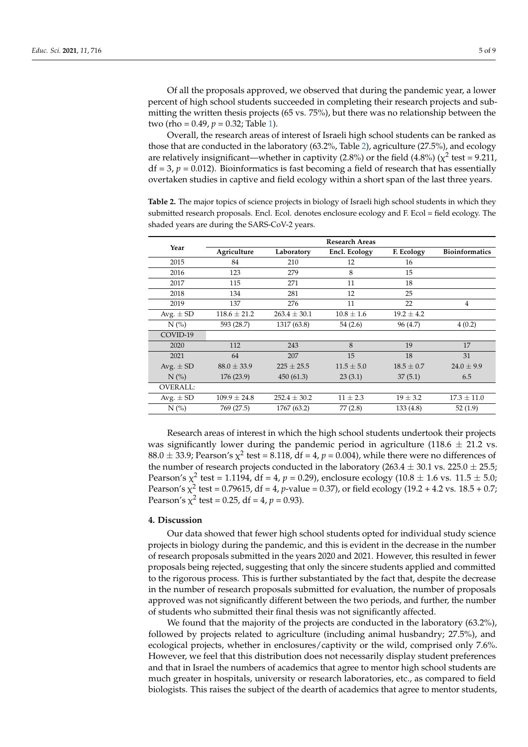Overall, the research areas of interest of Israeli high school students can be ranked as those that are conducted in the laboratory (63.2%, Table [2\)](#page-4-0), agriculture (27.5%), and ecology are relatively insignificant—whether in captivity (2.8%) or the field (4.8%) ( $\chi^2$  test = 9.211,  $df = 3$ ,  $p = 0.012$ ). Bioinformatics is fast becoming a field of research that has essentially overtaken studies in captive and field ecology within a short span of the last three years.

<span id="page-4-0"></span>**Table 2.** The major topics of science projects in biology of Israeli high school students in which they submitted research proposals. Encl. Ecol. denotes enclosure ecology and F. Ecol = field ecology. The shaded years are during the SARS-CoV-2 years.

|                                  | <b>Research Areas</b> |                  |                |                |                       |  |  |
|----------------------------------|-----------------------|------------------|----------------|----------------|-----------------------|--|--|
| Year                             | Agriculture           | Laboratory       | Encl. Ecology  | F. Ecology     | <b>Bioinformatics</b> |  |  |
| 2015                             | 84                    | 210              | 12             | 16             |                       |  |  |
| 2016                             | 123                   | 279              | 8              | 15             |                       |  |  |
| 2017                             | 115                   | 271              | 11             | 18             |                       |  |  |
| 2018                             | 134                   | 281              | 12             | 25             |                       |  |  |
| 2019                             | 137                   | 276              | 11             | 22             | $\overline{4}$        |  |  |
| Avg. $\pm$ SD                    | $118.6 \pm 21.2$      | $263.4 \pm 30.1$ | $10.8 \pm 1.6$ | $19.2 \pm 4.2$ |                       |  |  |
| $N$ (%)                          | 593 (28.7)            | 1317 (63.8)      | 54 (2.6)       | 96 (4.7)       | 4(0.2)                |  |  |
| COVID-19                         |                       |                  |                |                |                       |  |  |
| 2020                             | 112                   | 243              | 8              | 19             | 17                    |  |  |
| 2021                             | 64                    | 207              | 15             | 18             | 31                    |  |  |
| Avg. $\pm$ SD                    | $88.0 \pm 33.9$       | $225 \pm 25.5$   | $11.5 \pm 5.0$ | $18.5 \pm 0.7$ | $24.0 \pm 9.9$        |  |  |
| $N$ $\left(\frac{\%}{\%}\right)$ | 176(23.9)             | 450(61.3)        | 23(3.1)        | 37(5.1)        | 6.5                   |  |  |
| <b>OVERALL:</b>                  |                       |                  |                |                |                       |  |  |
| Avg. $\pm$ SD                    | $109.9 \pm 24.8$      | $252.4 \pm 30.2$ | $11 \pm 2.3$   | $19 \pm 3.2$   | $17.3 \pm 11.0$       |  |  |
| $N$ $\left(\frac{\%}{\%}\right)$ | 769 (27.5)            | 1767 (63.2)      | 77(2.8)        | 133(4.8)       | 52(1.9)               |  |  |

Research areas of interest in which the high school students undertook their projects was significantly lower during the pandemic period in agriculture (118.6  $\pm$  21.2 vs.  $88.0 \pm 33.9$ ; Pearson's  $\chi^2$  test =  $8.118$ , df =  $4$ ,  $p$  = 0.004), while there were no differences of the number of research projects conducted in the laboratory (263.4  $\pm$  30.1 vs. 225.0  $\pm$  25.5; Pearson's  $\chi^2$  test = 1.1194, df = 4,  $p$  = 0.29), enclosure ecology (10.8  $\pm$  1.6 vs. 11.5  $\pm$  5.0; Pearson's  $\chi^2$  test = 0.79615, df = 4, *p*-value = 0.37), or field ecology (19.2 + 4.2 vs. 18.5 + 0.7; Pearson's  $\chi^2$  test = 0.25, df = 4,  $p$  = 0.93).

## **4. Discussion**

Our data showed that fewer high school students opted for individual study science projects in biology during the pandemic, and this is evident in the decrease in the number of research proposals submitted in the years 2020 and 2021. However, this resulted in fewer proposals being rejected, suggesting that only the sincere students applied and committed to the rigorous process. This is further substantiated by the fact that, despite the decrease in the number of research proposals submitted for evaluation, the number of proposals approved was not significantly different between the two periods, and further, the number of students who submitted their final thesis was not significantly affected.

We found that the majority of the projects are conducted in the laboratory (63.2%), followed by projects related to agriculture (including animal husbandry; 27.5%), and ecological projects, whether in enclosures/captivity or the wild, comprised only 7.6%. However, we feel that this distribution does not necessarily display student preferences and that in Israel the numbers of academics that agree to mentor high school students are much greater in hospitals, university or research laboratories, etc., as compared to field biologists. This raises the subject of the dearth of academics that agree to mentor students,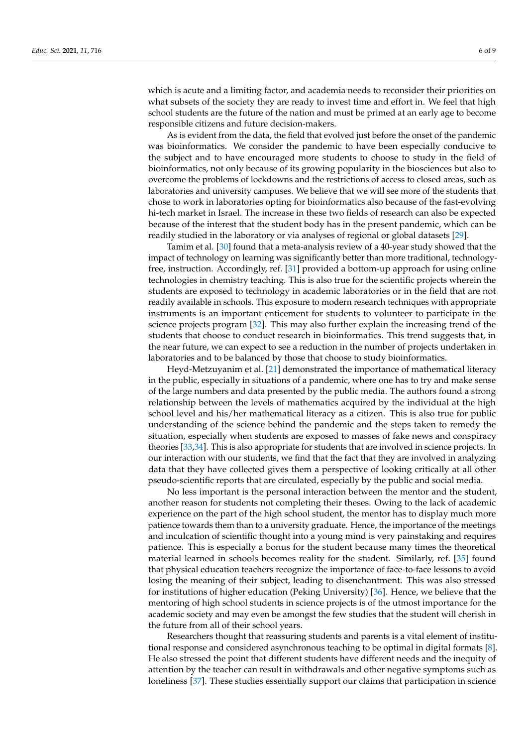which is acute and a limiting factor, and academia needs to reconsider their priorities on what subsets of the society they are ready to invest time and effort in. We feel that high school students are the future of the nation and must be primed at an early age to become responsible citizens and future decision-makers.

As is evident from the data, the field that evolved just before the onset of the pandemic was bioinformatics. We consider the pandemic to have been especially conducive to the subject and to have encouraged more students to choose to study in the field of bioinformatics, not only because of its growing popularity in the biosciences but also to overcome the problems of lockdowns and the restrictions of access to closed areas, such as laboratories and university campuses. We believe that we will see more of the students that chose to work in laboratories opting for bioinformatics also because of the fast-evolving hi-tech market in Israel. The increase in these two fields of research can also be expected because of the interest that the student body has in the present pandemic, which can be readily studied in the laboratory or via analyses of regional or global datasets [\[29\]](#page-8-1).

Tamim et al. [\[30\]](#page-8-2) found that a meta-analysis review of a 40-year study showed that the impact of technology on learning was significantly better than more traditional, technologyfree, instruction. Accordingly, ref. [\[31\]](#page-8-3) provided a bottom-up approach for using online technologies in chemistry teaching. This is also true for the scientific projects wherein the students are exposed to technology in academic laboratories or in the field that are not readily available in schools. This exposure to modern research techniques with appropriate instruments is an important enticement for students to volunteer to participate in the science projects program [\[32\]](#page-8-4). This may also further explain the increasing trend of the students that choose to conduct research in bioinformatics. This trend suggests that, in the near future, we can expect to see a reduction in the number of projects undertaken in laboratories and to be balanced by those that choose to study bioinformatics.

Heyd-Metzuyanim et al. [\[21\]](#page-7-19) demonstrated the importance of mathematical literacy in the public, especially in situations of a pandemic, where one has to try and make sense of the large numbers and data presented by the public media. The authors found a strong relationship between the levels of mathematics acquired by the individual at the high school level and his/her mathematical literacy as a citizen. This is also true for public understanding of the science behind the pandemic and the steps taken to remedy the situation, especially when students are exposed to masses of fake news and conspiracy theories [\[33](#page-8-5)[,34\]](#page-8-6). This is also appropriate for students that are involved in science projects. In our interaction with our students, we find that the fact that they are involved in analyzing data that they have collected gives them a perspective of looking critically at all other pseudo-scientific reports that are circulated, especially by the public and social media.

No less important is the personal interaction between the mentor and the student, another reason for students not completing their theses. Owing to the lack of academic experience on the part of the high school student, the mentor has to display much more patience towards them than to a university graduate. Hence, the importance of the meetings and inculcation of scientific thought into a young mind is very painstaking and requires patience. This is especially a bonus for the student because many times the theoretical material learned in schools becomes reality for the student. Similarly, ref. [\[35\]](#page-8-7) found that physical education teachers recognize the importance of face-to-face lessons to avoid losing the meaning of their subject, leading to disenchantment. This was also stressed for institutions of higher education (Peking University) [\[36\]](#page-8-8). Hence, we believe that the mentoring of high school students in science projects is of the utmost importance for the academic society and may even be amongst the few studies that the student will cherish in the future from all of their school years.

Researchers thought that reassuring students and parents is a vital element of institutional response and considered asynchronous teaching to be optimal in digital formats [\[8\]](#page-7-7). He also stressed the point that different students have different needs and the inequity of attention by the teacher can result in withdrawals and other negative symptoms such as loneliness [\[37\]](#page-8-9). These studies essentially support our claims that participation in science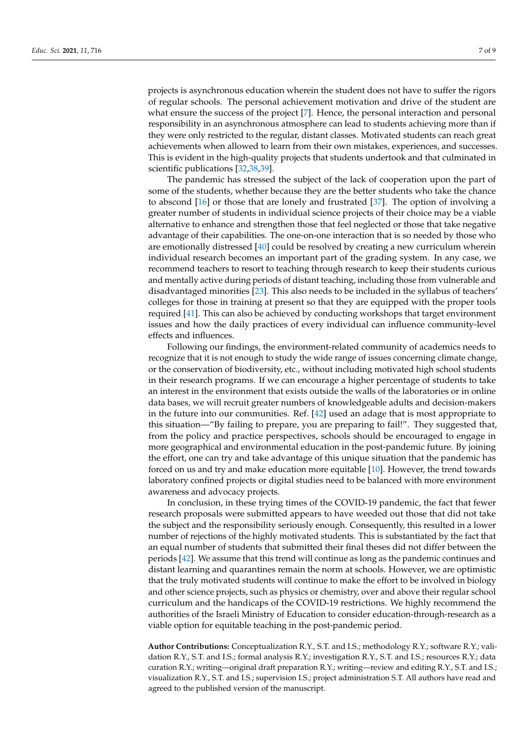projects is asynchronous education wherein the student does not have to suffer the rigors of regular schools. The personal achievement motivation and drive of the student are what ensure the success of the project [\[7\]](#page-7-6). Hence, the personal interaction and personal responsibility in an asynchronous atmosphere can lead to students achieving more than if they were only restricted to the regular, distant classes. Motivated students can reach great achievements when allowed to learn from their own mistakes, experiences, and successes. This is evident in the high-quality projects that students undertook and that culminated in scientific publications [\[32,](#page-8-4)[38,](#page-8-10)[39\]](#page-8-11).

The pandemic has stressed the subject of the lack of cooperation upon the part of some of the students, whether because they are the better students who take the chance to abscond [\[16\]](#page-7-14) or those that are lonely and frustrated [\[37\]](#page-8-9). The option of involving a greater number of students in individual science projects of their choice may be a viable alternative to enhance and strengthen those that feel neglected or those that take negative advantage of their capabilities. The one-on-one interaction that is so needed by those who are emotionally distressed [\[40\]](#page-8-12) could be resolved by creating a new curriculum wherein individual research becomes an important part of the grading system. In any case, we recommend teachers to resort to teaching through research to keep their students curious and mentally active during periods of distant teaching, including those from vulnerable and disadvantaged minorities [\[23\]](#page-7-21). This also needs to be included in the syllabus of teachers' colleges for those in training at present so that they are equipped with the proper tools required [\[41\]](#page-8-13). This can also be achieved by conducting workshops that target environment issues and how the daily practices of every individual can influence community-level effects and influences.

Following our findings, the environment-related community of academics needs to recognize that it is not enough to study the wide range of issues concerning climate change, or the conservation of biodiversity, etc., without including motivated high school students in their research programs. If we can encourage a higher percentage of students to take an interest in the environment that exists outside the walls of the laboratories or in online data bases, we will recruit greater numbers of knowledgeable adults and decision-makers in the future into our communities. Ref. [\[42\]](#page-8-14) used an adage that is most appropriate to this situation—"By failing to prepare, you are preparing to fail!". They suggested that, from the policy and practice perspectives, schools should be encouraged to engage in more geographical and environmental education in the post-pandemic future. By joining the effort, one can try and take advantage of this unique situation that the pandemic has forced on us and try and make education more equitable [\[10\]](#page-7-9). However, the trend towards laboratory confined projects or digital studies need to be balanced with more environment awareness and advocacy projects.

In conclusion, in these trying times of the COVID-19 pandemic, the fact that fewer research proposals were submitted appears to have weeded out those that did not take the subject and the responsibility seriously enough. Consequently, this resulted in a lower number of rejections of the highly motivated students. This is substantiated by the fact that an equal number of students that submitted their final theses did not differ between the periods [\[42\]](#page-8-14). We assume that this trend will continue as long as the pandemic continues and distant learning and quarantines remain the norm at schools. However, we are optimistic that the truly motivated students will continue to make the effort to be involved in biology and other science projects, such as physics or chemistry, over and above their regular school curriculum and the handicaps of the COVID-19 restrictions. We highly recommend the authorities of the Israeli Ministry of Education to consider education-through-research as a viable option for equitable teaching in the post-pandemic period.

**Author Contributions:** Conceptualization R.Y., S.T. and I.S.; methodology R.Y.; software R.Y.; validation R.Y., S.T. and I.S.; formal analysis R.Y.; investigation R.Y., S.T. and I.S.; resources R.Y.; data curation R.Y.; writing—original draft preparation R.Y.; writing—review and editing R.Y., S.T. and I.S.; visualization R.Y., S.T. and I.S.; supervision I.S.; project administration S.T. All authors have read and agreed to the published version of the manuscript.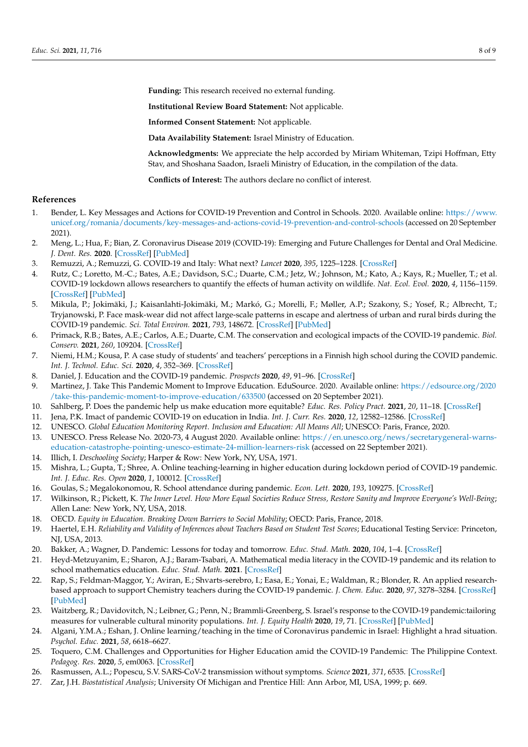**Funding:** This research received no external funding.

**Institutional Review Board Statement:** Not applicable.

**Informed Consent Statement:** Not applicable.

**Data Availability Statement:** Israel Ministry of Education.

**Acknowledgments:** We appreciate the help accorded by Miriam Whiteman, Tzipi Hoffman, Etty Stav, and Shoshana Saadon, Israeli Ministry of Education, in the compilation of the data.

**Conflicts of Interest:** The authors declare no conflict of interest.

#### **References**

- <span id="page-7-0"></span>1. Bender, L. Key Messages and Actions for COVID-19 Prevention and Control in Schools. 2020. Available online: [https://www.](https://www.unicef.org/romania/documents/key-messages-and-actions-covid-19-prevention-and-control-schools) [unicef.org/romania/documents/key-messages-and-actions-covid-19-prevention-and-control-schools](https://www.unicef.org/romania/documents/key-messages-and-actions-covid-19-prevention-and-control-schools) (accessed on 20 September 2021).
- <span id="page-7-1"></span>2. Meng, L.; Hua, F.; Bian, Z. Coronavirus Disease 2019 (COVID-19): Emerging and Future Challenges for Dental and Oral Medicine. *J. Dent. Res.* **2020**. [\[CrossRef\]](http://doi.org/10.1177/0022034520914246) [\[PubMed\]](http://www.ncbi.nlm.nih.gov/pubmed/32162995)
- <span id="page-7-2"></span>3. Remuzzi, A.; Remuzzi, G. COVID-19 and Italy: What next? *Lancet* **2020**, *395*, 1225–1228. [\[CrossRef\]](http://doi.org/10.1016/S0140-6736(20)30627-9)
- <span id="page-7-3"></span>4. Rutz, C.; Loretto, M.-C.; Bates, A.E.; Davidson, S.C.; Duarte, C.M.; Jetz, W.; Johnson, M.; Kato, A.; Kays, R.; Mueller, T.; et al. COVID-19 lockdown allows researchers to quantify the effects of human activity on wildlife. *Nat. Ecol. Evol.* **2020**, *4*, 1156–1159. [\[CrossRef\]](http://doi.org/10.1038/s41559-020-1237-z) [\[PubMed\]](http://www.ncbi.nlm.nih.gov/pubmed/32572222)
- <span id="page-7-4"></span>5. Mikula, P.; Jokimäki, J.; Kaisanlahti-Jokimäki, M.; Markó, G.; Morelli, F.; Møller, A.P.; Szakony, S.; Yosef, R.; Albrecht, T.; Tryjanowski, P. Face mask-wear did not affect large-scale patterns in escape and alertness of urban and rural birds during the COVID-19 pandemic. *Sci. Total Environ.* **2021**, *793*, 148672. [\[CrossRef\]](http://doi.org/10.1016/j.scitotenv.2021.148672) [\[PubMed\]](http://www.ncbi.nlm.nih.gov/pubmed/34328996)
- <span id="page-7-5"></span>6. Primack, R.B.; Bates, A.E.; Carlos, A.E.; Duarte, C.M. The conservation and ecological impacts of the COVID-19 pandemic. *Biol. Conserv.* **2021**, *260*, 109204. [\[CrossRef\]](http://doi.org/10.1016/j.biocon.2021.109204)
- <span id="page-7-6"></span>7. Niemi, H.M.; Kousa, P. A case study of students' and teachers' perceptions in a Finnish high school during the COVID pandemic. *Int. J. Technol. Educ. Sci.* **2020**, *4*, 352–369. [\[CrossRef\]](http://doi.org/10.46328/ijtes.v4i4.167)
- <span id="page-7-7"></span>8. Daniel, J. Education and the COVID-19 pandemic. *Prospects* **2020**, *49*, 91–96. [\[CrossRef\]](http://doi.org/10.1007/s11125-020-09464-3)
- <span id="page-7-8"></span>9. Martinez, J. Take This Pandemic Moment to Improve Education. EduSource. 2020. Available online: [https://edsource.org/2020](https://edsource.org/2020/take-this-pandemic-moment-to-improve-education/633500) [/take-this-pandemic-moment-to-improve-education/633500](https://edsource.org/2020/take-this-pandemic-moment-to-improve-education/633500) (accessed on 20 September 2021).
- <span id="page-7-9"></span>10. Sahlberg, P. Does the pandemic help us make education more equitable? *Educ. Res. Policy Pract.* **2021**, *20*, 11–18. [\[CrossRef\]](http://doi.org/10.1007/s10671-020-09284-4)
- <span id="page-7-10"></span>11. Jena, P.K. Imact of pandemic COVID-19 on education in India. *Int. J. Curr. Res.* **2020**, *12*, 12582–12586. [\[CrossRef\]](http://doi.org/10.24941/ijcr.39209.07.2020)
- 12. UNESCO. *Global Education Monitoring Report. Inclusion and Education: All Means All*; UNESCO: Paris, France, 2020.
- <span id="page-7-11"></span>13. UNESCO. Press Release No. 2020-73, 4 August 2020. Available online: [https://en.unesco.org/news/secretarygeneral-warns](https://en.unesco.org/news/secretarygeneral-warns-education-catastrophe-pointing-unesco-estimate-24-million-learners-risk)[education-catastrophe-pointing-unesco-estimate-24-million-learners-risk](https://en.unesco.org/news/secretarygeneral-warns-education-catastrophe-pointing-unesco-estimate-24-million-learners-risk) (accessed on 22 September 2021).
- <span id="page-7-12"></span>14. Illich, I. *Deschooling Society*; Harper & Row: New York, NY, USA, 1971.
- <span id="page-7-13"></span>15. Mishra, L.; Gupta, T.; Shree, A. Online teaching-learning in higher education during lockdown period of COVID-19 pandemic. *Int. J. Educ. Res. Open* **2020**, *1*, 100012. [\[CrossRef\]](http://doi.org/10.1016/j.ijedro.2020.100012)
- <span id="page-7-14"></span>16. Goulas, S.; Megalokonomou, R. School attendance during pandemic. *Econ. Lett.* **2020**, *193*, 109275. [\[CrossRef\]](http://doi.org/10.1016/j.econlet.2020.109275)
- <span id="page-7-15"></span>17. Wilkinson, R.; Pickett, K. *The Inner Level. How More Equal Societies Reduce Stress, Restore Sanity and Improve Everyone's Well-Being*; Allen Lane: New York, NY, USA, 2018.
- <span id="page-7-16"></span>18. OECD. *Equity in Education. Breaking Down Barriers to Social Mobility*; OECD: Paris, France, 2018.
- <span id="page-7-17"></span>19. Haertel, E.H. *Reliability and Validity of Inferences about Teachers Based on Student Test Scores*; Educational Testing Service: Princeton, NJ, USA, 2013.
- <span id="page-7-18"></span>20. Bakker, A.; Wagner, D. Pandemic: Lessons for today and tomorrow. *Educ. Stud. Math.* **2020**, *104*, 1–4. [\[CrossRef\]](http://doi.org/10.1007/s10649-020-09946-3)
- <span id="page-7-19"></span>21. Heyd-Metzuyanim, E.; Sharon, A.J.; Baram-Tsabari, A. Mathematical media literacy in the COVID-19 pandemic and its relation to school mathematics education. *Educ. Stud. Math.* **2021**. [\[CrossRef\]](http://doi.org/10.1007/s10649-021-10075-8)
- <span id="page-7-20"></span>22. Rap, S.; Feldman-Maggor, Y.; Aviran, E.; Shvarts-serebro, I.; Easa, E.; Yonai, E.; Waldman, R.; Blonder, R. An applied researchbased approach to support Chemistry teachers during the COVID-19 pandemic. *J. Chem. Educ.* **2020**, *97*, 3278–3284. [\[CrossRef\]](http://doi.org/10.1021/acs.jchemed.0c00687) [\[PubMed\]](http://www.ncbi.nlm.nih.gov/pubmed/32952213)
- <span id="page-7-21"></span>23. Waitzberg, R.; Davidovitch, N.; Leibner, G.; Penn, N.; Brammli-Greenberg, S. Israel's response to the COVID-19 pandemic:tailoring measures for vulnerable cultural minority populations. *Int. J. Equity Health* **2020**, *19*, 71. [\[CrossRef\]](http://doi.org/10.1186/s12939-020-01191-7) [\[PubMed\]](http://www.ncbi.nlm.nih.gov/pubmed/32429995)
- <span id="page-7-22"></span>24. Algani, Y.M.A.; Eshan, J. Online learning/teaching in the time of Coronavirus pandemic in Israel: Highlight a hrad situation. *Psychol. Educ.* **2021**, *58*, 6618–6627.
- <span id="page-7-23"></span>25. Toquero, C.M. Challenges and Opportunities for Higher Education amid the COVID-19 Pandemic: The Philippine Context. *Pedagog. Res.* **2020**, *5*, em0063. [\[CrossRef\]](http://doi.org/10.29333/pr/7947)
- <span id="page-7-24"></span>26. Rasmussen, A.L.; Popescu, S.V. SARS-CoV-2 transmission without symptoms. *Science* **2021**, *371*, 6535. [\[CrossRef\]](http://doi.org/10.1126/science.abf9569)
- <span id="page-7-25"></span>27. Zar, J.H. *Biostatistical Analysis*; University Of Michigan and Prentice Hill: Ann Arbor, MI, USA, 1999; p. 669.